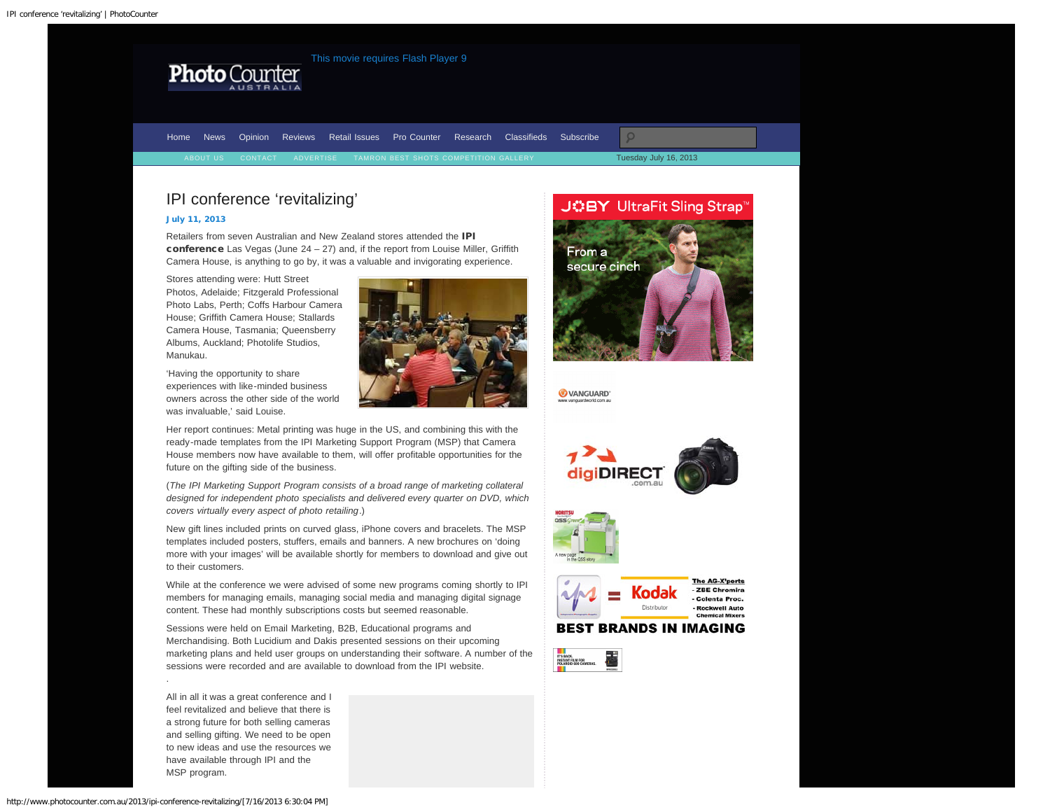<span id="page-0-0"></span>

Tuesday July 16, 2013 [Home](http://www.photocounter.com.au/) [News](http://www.photocounter.com.au/category/news/) [Opinion](http://www.photocounter.com.au/category/opinion/) [Reviews](http://www.photoreview.com.au/reviews/) [Retail Issues](http://www.photocounter.com.au/category/retail-issues/) [Pro Counter](http://www.photocounter.com.au/category/pro-counter/) [Research](http://www.photocounter.com.au/category/research/) [Classifieds](http://www.photocounter.com.au/category/classifieds/) [Subscribe](http://www.photocounter.com.au/subscribe/)

# IPI conference 'revitalizing'

## [July 11, 2013](#page-0-0)

Retailers from seven Australian and New Zealand stores attended the IPI conference Las Vegas (June  $24 - 27$ ) and, if the report from Louise Miller, Griffith Camera House, is anything to go by, it was a valuable and invigorating experience.

Stores attending were: Hutt Street Photos, Adelaide; Fitzgerald Professional Photo Labs, Perth; Coffs Harbour Camera House; Griffith Camera House; Stallards Camera House, Tasmania; Queensberry Albums, Auckland; Photolife Studios, Manukau.

'Having the opportunity to share experiences with like-minded business owners across the other side of the world was invaluable,' said Louise.



Her report continues: Metal printing was huge in the US, and combining this with the ready-made templates from the IPI Marketing Support Program (MSP) that Camera House members now have available to them, will offer profitable opportunities for the future on the gifting side of the business.

(*The IPI Marketing Support Program consists of a broad range of marketing collateral designed for independent photo specialists and delivered every quarter on DVD, which covers virtually every aspect of photo retailing*.)

New gift lines included prints on curved glass, iPhone covers and bracelets. The MSP templates included posters, stuffers, emails and banners. A new brochures on 'doing more with your images' will be available shortly for members to download and give out to their customers.

While at the conference we were advised of some new programs coming shortly to IPI members for managing emails, managing social media and managing digital signage content. These had monthly subscriptions costs but seemed reasonable.

Sessions were held on Email Marketing, B2B, Educational programs and Merchandising. Both Lucidium and Dakis presented sessions on their upcoming marketing plans and held user groups on understanding their software. A number of the sessions were recorded and are available to download from the IPI website.

All in all it was a great conference and I feel revitalized and believe that there is a strong future for both selling cameras and selling gifting. We need to be open to new ideas and use the resources we have available through IPI and the MSP program.

.

secure cinch VANGUARD'

JOBY UltraFit Sling Strap®

From a



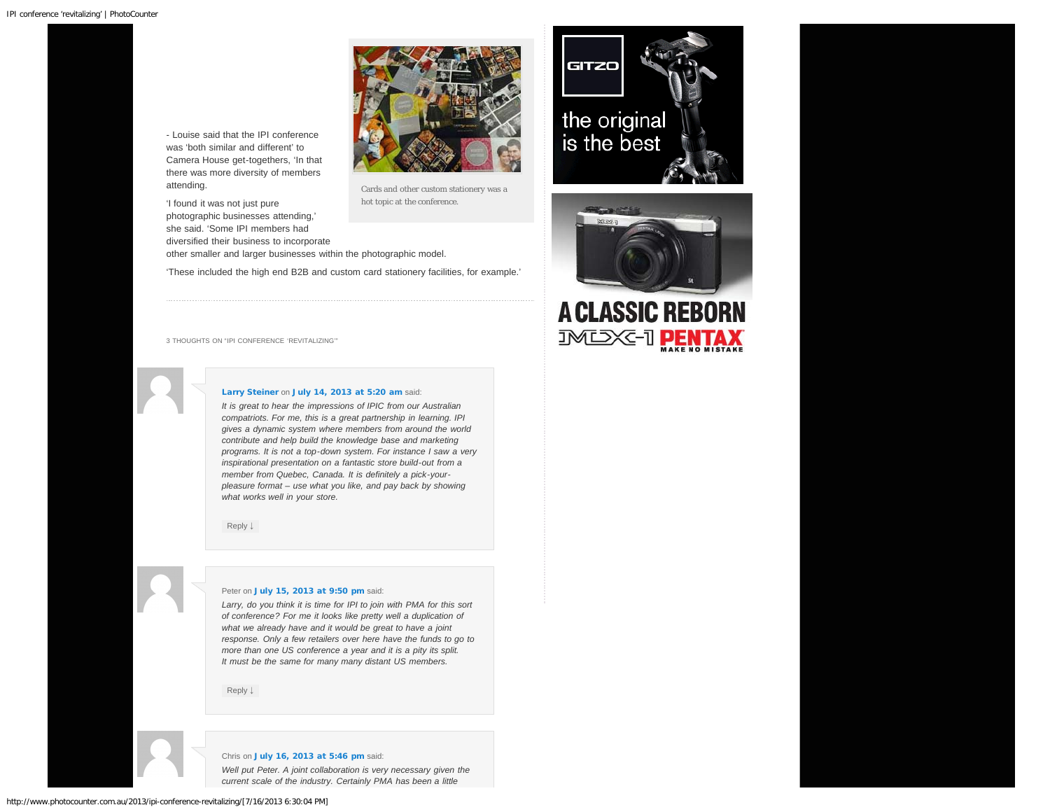- Louise said that the IPI conference was 'both similar and different' to Camera House get-togethers, 'In that there was more diversity of members attending.

'I found it was not just pure photographic businesses attending,' she said. 'Some IPI members had diversified their business to incorporate



Cards and other custom stationery was a hot topic at the conference.

other smaller and larger businesses within the photographic model.

'These included the high end B2B and custom card stationery facilities, for example.'







<span id="page-1-0"></span>3 THOUGHTS ON "IPI CONFERENCE 'REVITALIZING'"

## [Larry Steiner](http://www.ashlandphoto.com/) on [July 14, 2013 at 5:20 am](#page-1-0) said:

*It is great to hear the impressions of IPIC from our Australian compatriots. For me, this is a great partnership in learning. IPI gives a dynamic system where members from around the world contribute and help build the knowledge base and marketing programs. It is not a top-down system. For instance I saw a very inspirational presentation on a fantastic store build-out from a member from Quebec, Canada. It is definitely a pick-yourpleasure format – use what you like, and pay back by showing what works well in your store.*

[Reply](http://www.photocounter.com.au/2013/ipi-conference-revitalizing/?replytocom=11576#respond) [↓](http://www.photocounter.com.au/2013/ipi-conference-revitalizing/?replytocom=11576#respond)

#### Peter on [July 15, 2013 at 9:50 pm](#page-1-1) said:

<span id="page-1-1"></span>*Larry, do you think it is time for IPI to join with PMA for this sort of conference? For me it looks like pretty well a duplication of what we already have and it would be great to have a joint response. Only a few retailers over here have the funds to go to more than one US conference a year and it is a pity its split. It must be the same for many many distant US members.*

[Reply](http://www.photocounter.com.au/2013/ipi-conference-revitalizing/?replytocom=11596#respond) [↓](http://www.photocounter.com.au/2013/ipi-conference-revitalizing/?replytocom=11596#respond)

#### Chris on [July 16, 2013 at 5:46 pm](#page-2-0) said:

*Well put Peter. A joint collaboration is very necessary given the current scale of the industry. Certainly PMA has been a little*